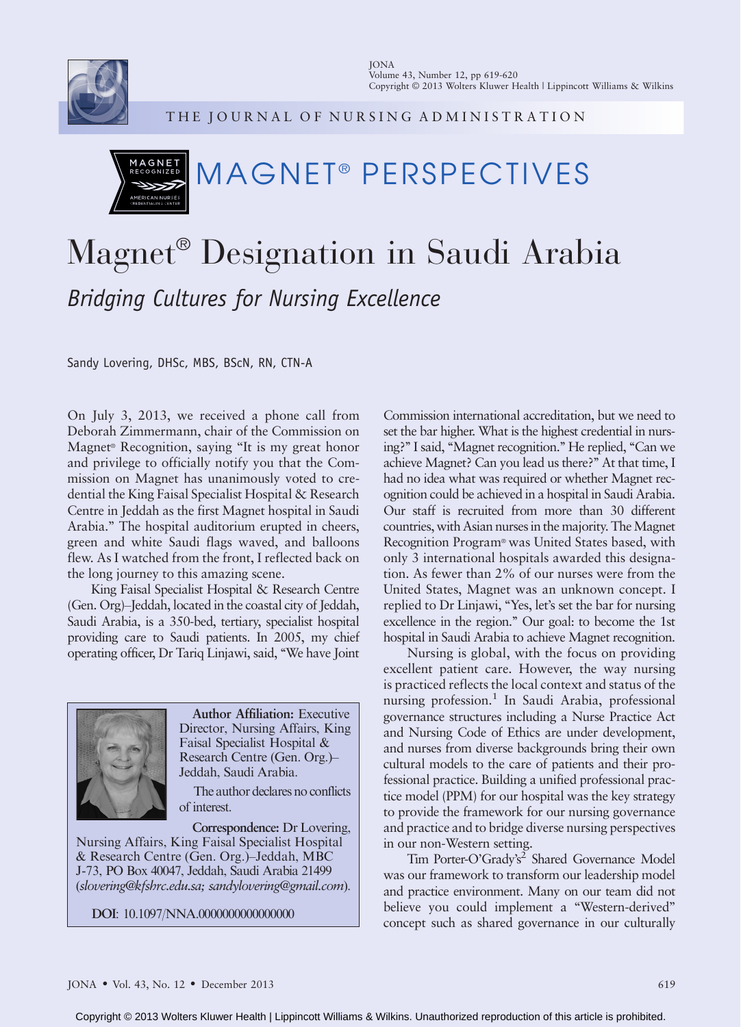

THE JOURNAL OF NURSING ADMINISTRATION

## MAGNET

## MAGNET® PERSPECTIVES

## Magnet<sup>®</sup> Designation in Saudi Arabia Bridging Cultures for Nursing Excellence

Sandy Lovering, DHSc, MBS, BScN, RN, CTN-A

On July 3, 2013, we received a phone call from Deborah Zimmermann, chair of the Commission on Magnet<sup>®</sup> Recognition, saying "It is my great honor and privilege to officially notify you that the Commission on Magnet has unanimously voted to credential the King Faisal Specialist Hospital & Research Centre in Jeddah as the first Magnet hospital in Saudi Arabia.'' The hospital auditorium erupted in cheers, green and white Saudi flags waved, and balloons flew. As I watched from the front, I reflected back on the long journey to this amazing scene.

King Faisal Specialist Hospital & Research Centre  $(Gen. Org)$ -Jeddah, located in the coastal city of Jeddah, Saudi Arabia, is a 350-bed, tertiary, specialist hospital providing care to Saudi patients. In 2005, my chief operating officer, Dr Tariq Linjawi, said, ''We have Joint



Author Affiliation: Executive Director, Nursing Affairs, King Faisal Specialist Hospital & Research Centre (Gen. Org.)-Jeddah, Saudi Arabia.

The author declares no conflicts of interest.

Correspondence: Dr Lovering, Nursing Affairs, King Faisal Specialist Hospital & Research Centre (Gen. Org.)-Jeddah, MBC J-73, PO Box 40047, Jeddah, Saudi Arabia 21499 ([slovering@kfshrc.edu.sa;](mailto:slovering@kfshrc.edu.sa) [sandylovering@gmail.com](mailto:sandylovering@gmail.com)).

DOI: 10.1097/NNA.0000000000000000

Commission international accreditation, but we need to set the bar higher. What is the highest credential in nursing?" I said, "Magnet recognition." He replied, "Can we achieve Magnet? Can you lead us there?'' At that time, I had no idea what was required or whether Magnet recognition could be achieved in a hospital in Saudi Arabia. Our staff is recruited from more than 30 different countries, with Asian nurses in the majority. The Magnet Recognition Program<sup>®</sup> was United States based, with only 3 international hospitals awarded this designation. As fewer than 2% of our nurses were from the United States, Magnet was an unknown concept. I replied to Dr Linjawi, ''Yes, let's set the bar for nursing excellence in the region.'' Our goal: to become the 1st hospital in Saudi Arabia to achieve Magnet recognition.

Nursing is global, with the focus on providing excellent patient care. However, the way nursing is practiced reflects the local context and status of the nursing profession.<sup>1</sup> In Saudi Arabia, professional governance structures including a Nurse Practice Act and Nursing Code of Ethics are under development, and nurses from diverse backgrounds bring their own cultural models to the care of patients and their professional practice. Building a unified professional practice model (PPM) for our hospital was the key strategy to provide the framework for our nursing governance and practice and to bridge diverse nursing perspectives in our non-Western setting.

Tim Porter-O'Grady's<sup>2</sup> Shared Governance Model was our framework to transform our leadership model and practice environment. Many on our team did not believe you could implement a "Western-derived" concept such as shared governance in our culturally